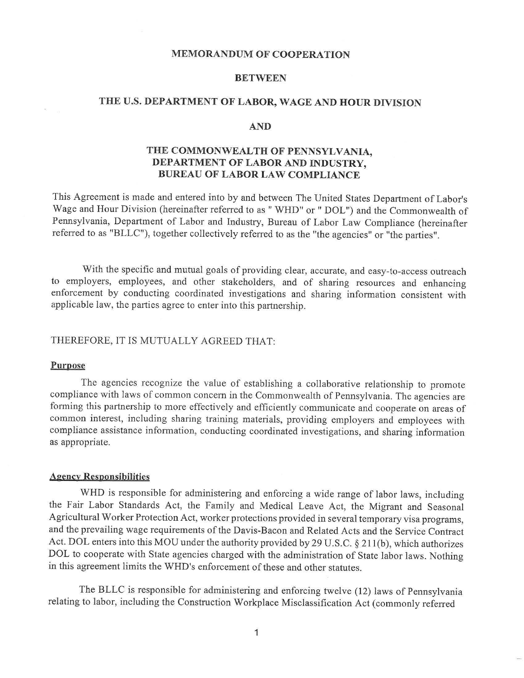#### **MEMORANDUM OF COOPERATION**

## **BETWEEN**

# **THE U.S. DEPARTMENT OF LABOR, WAGE AND HOUR DIVISION**

#### **AND**

# **THE COMMONWEALTH OF PENNSYLVANIA, DEPARTMENT OF LABOR AND INDUSTRY, BUREAU OF LABOR LAW COMPLIANCE**

This Agreement is made and entered into by and between The United States Department of Labor's Wage and Hour Division (hereinafter referred to as" WHD" or" DOL") and the Commonwealth of Pennsylvania, Department of Labor and Industry, Bureau of Labor Law Compliance (hereinafter referred to as "BLLC"), together collectively referred to as the "the agencies" or "the parties".

With the specific and mutual goals of providing clear, accurate, and easy-to-access outreach to employers, employees, and other stakeholders, and of sharing resources and enhancing enforcement by conducting coordinated investigations and sharing information consistent with applicable law, the parties agree to enter into this partnership.

### THEREFORE, IT IS MUTUALLY AGREED THAT:

#### **Purpose**

The agencies recognize the value of establishing a collaborative relationship to promote compliance with laws of common concern in the Commonwealth of Pennsylvania. The agencies are forming this partnership to more effectively and efficiently communicate and cooperate on areas of common interest, including sharing training materials, providing employers and employees with compliance assistance information, conducting coordinated investigations, and sharing information as appropriate.

#### **Agency Responsibilities**

WHD is responsible for administering and enforcing a wide range of labor laws, including the Fair Labor Standards Act, the Family and Medical Leave Act, the Migrant and Seasonal Agricultural Worker Protection Act, worker protections provided in several temporary visa programs, and the prevailing wage requirements of the Davis-Bacon and Related Acts and the Service Contract Act. DOL enters into this MOU under the authority provided by 29 U.S.C. § 21 l(b), which authorizes DOL to cooperate with State agencies charged with the administration of State labor laws. Nothing in this agreement limits the WHD's enforcement of these and other statutes.

The BLLC is responsible for administering and enforcing twelve (12) laws of Pennsylvania relating to labor, including the Construction Workplace Misclassification Act ( commonly referred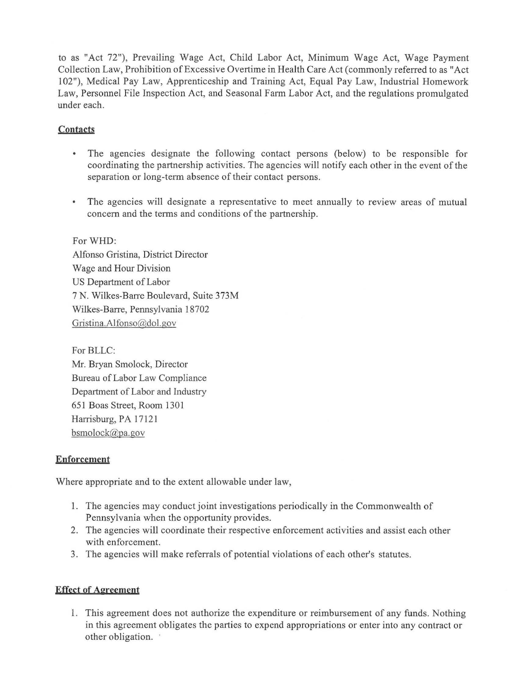to as "Act 72"), Prevailing Wage Act, Child Labor Act, Minimum Wage Act, Wage Payment Collection Law, Prohibition of Excessive Overtime in Health Care Act (commonly referred to as "Act 102"), Medical Pay Law, Apprenticeship and Training Act, Equal Pay Law, Industrial Homework Law, Personnel File Inspection Act, and Seasonal Farm Labor Act, and the regulations promulgated under each.

# **Contacts**

- The agencies designate the following contact persons (below) to be responsible for coordinating the partnership activities. The agencies will notify each other in the event of the separation or long-term absence of their contact persons.
- The agencies will designate a representative to meet annually to review areas of mutual concern and the terms and conditions of the partnership.

ForWHD: Alfonso Gristina, District Director Wage and Hour Division US Department of Labor 7 N. Wilkes-Barre Boulevard, Suite 373M Wilkes-Barre, Pennsylvania 18702 [Gristina.Alfonso@dol.gov](mailto:Gristina.Alfonso@dol.gov) 

For BLLC: Mr. Bryan Smolock, Director Bureau of Labor Law Compliance Department of Labor and Industry 651 Boas Street, Room 1301 Harrisburg, PA 17121 [bsmolock@pa.gov](mailto:bsmolock@pa.gov)

# **Enforcement**

Where appropriate and to the extent allowable under law,

- 1. The agencies may conduct joint investigations periodically in the Commonwealth of Pennsylvania when the opportunity provides.
- 2. The agencies will coordinate their respective enforcement activities and assist each other with enforcement.
- 3. The agencies will make referrals of potential violations of each other's statutes.

# **Effect of Agreement**

1. This agreement does not authorize the expenditure or reimbursement of any funds. Nothing in this agreement obligates the parties to expend appropriations or enter into any contract or other obligation.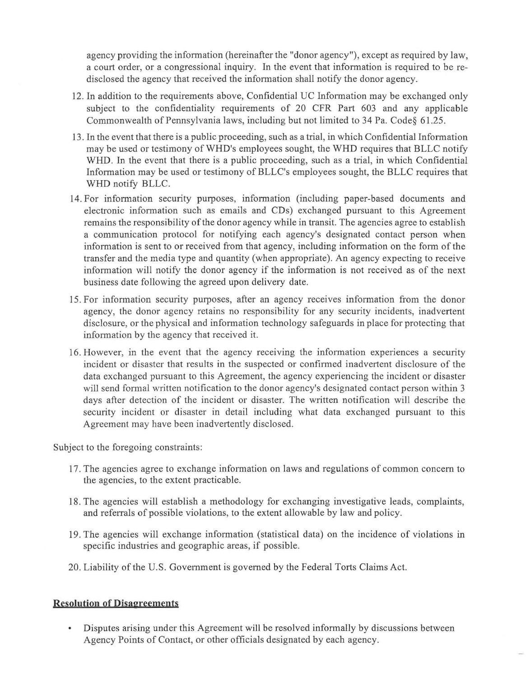agency providing the information (hereinafter the "donor agency"), except as required by law, a court order, or a congressional inquiry. In the event that information is required to be redisclosed the agency that received the information shall notify the donor agency.

- 12. In addition to the requirements above, Confidential UC Information may be exchanged only subject to the confidentiality requirements of 20 CFR Part 603 and any applicable Commonwealth of Pennsylvania laws, including but not limited to 34 Pa. Code§ 61.25.
- 13. In the event that there is a public proceeding, such as a trial, in which Confidential Information may be used or testimony of WHD's employees sought, the WHD requires that BLLC notify WHD. In the event that there is a public proceeding, such as a trial, in which Confidential Information may be used or testimony of BLLC's employees sought, the BLLC requires that WHD notify BLLC.
- 14. For information security purposes, information (including paper-based documents and electronic information such as emails and CDs) exchanged pursuant to this Agreement remains the responsibility of the donor agency while in transit. The agencies agree to establish a communication protocol for notifying each agency's designated contact person when information is sent to or received from that agency, including information on the form of the transfer and the media type and quantity (when appropriate). An agency expecting to receive information will notify the donor agency if the information is not received as of the next business date following the agreed upon delivery date.
- 15. For information security purposes, after an agency receives information from the donor agency, the donor agency retains no responsibility for any security incidents, inadvertent disclosure, or the physical and information technology safeguards in place for protecting that information by the agency that received it.
- 16. However, in the event that the agency receiving the information experiences a security incident or disaster that results in the suspected or confirmed inadvertent disclosure of the data exchanged pursuant to this Agreement, the agency experiencing the incident or disaster will send formal written notification to the donor agency's designated contact person within 3 days after detection of the incident or disaster. The written notification will describe the security incident or disaster in detail including what data exchanged pursuant to this Agreement may have been inadvertently disclosed.

Subject to the foregoing constraints:

- 17. The agencies agree to exchange information on laws and regulations of common concern to the agencies, to the extent practicable.
- 18. The agencies will establish a methodology for exchanging investigative leads, complaints, and referrals of possible violations, to the extent allowable by law and policy.
- 19. The agencies will exchange information (statistical data) on the incidence of violations in specific industries and geographic areas, if possible.
- 20. Liability of the U.S. Government is governed by the Federal Torts Claims Act.

## **Resolution of Disagreements**

• Disputes arising under this Agreement will be resolved informally by discussions between Agency Points of Contact, or other officials designated by each agency.